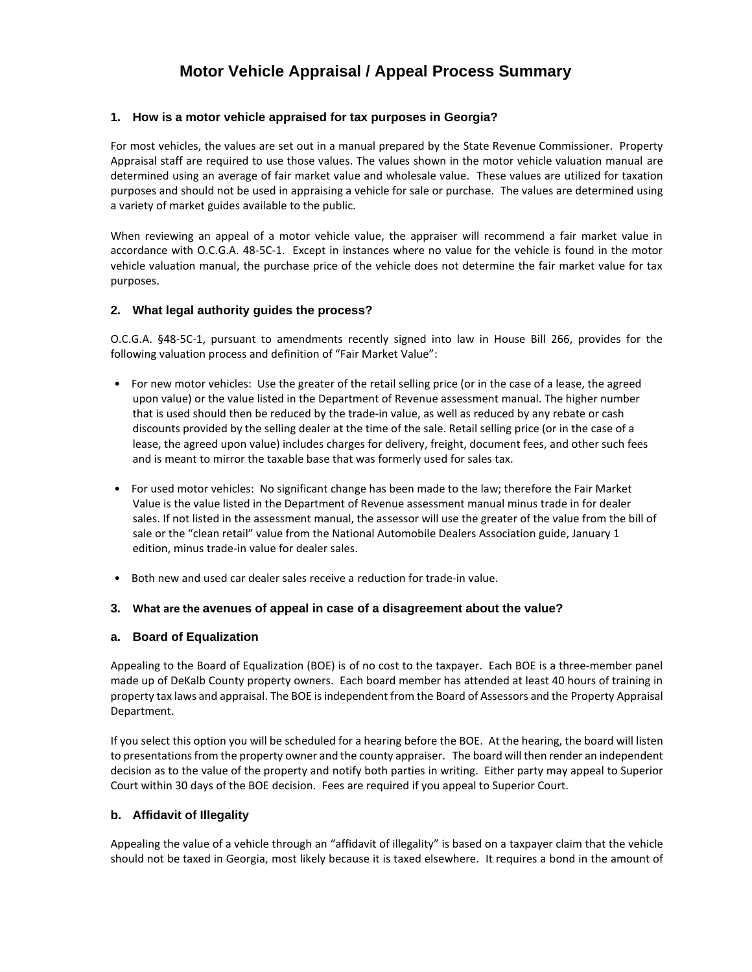# **Motor Vehicle Appraisal / Appeal Process Summary**

#### **1. How is a motor vehicle appraised for tax purposes in Georgia?**

For most vehicles, the values are set out in a manual prepared by the State Revenue Commissioner. Property Appraisal staff are required to use those values. The values shown in the motor vehicle valuation manual are determined using an average of fair market value and wholesale value. These values are utilized for taxation purposes and should not be used in appraising a vehicle for sale or purchase. The values are determined using a variety of market guides available to the public.

When reviewing an appeal of a motor vehicle value, the appraiser will recommend a fair market value in accordance with O.C.G.A. 48‐5C‐1. Except in instances where no value for the vehicle is found in the motor vehicle valuation manual, the purchase price of the vehicle does not determine the fair market value for tax purposes.

## **2. What legal authority guides the process?**

O.C.G.A. §48‐5C‐1, pursuant to amendments recently signed into law in House Bill 266, provides for the following valuation process and definition of "Fair Market Value":

- For new motor vehicles: Use the greater of the retail selling price (or in the case of a lease, the agreed upon value) or the value listed in the Department of Revenue assessment manual. The higher number that is used should then be reduced by the trade‐in value, as well as reduced by any rebate or cash discounts provided by the selling dealer at the time of the sale. Retail selling price (or in the case of a lease, the agreed upon value) includes charges for delivery, freight, document fees, and other such fees and is meant to mirror the taxable base that was formerly used for sales tax.
- For used motor vehicles: No significant change has been made to the law; therefore the Fair Market Value is the value listed in the Department of Revenue assessment manual minus trade in for dealer sales. If not listed in the assessment manual, the assessor will use the greater of the value from the bill of sale or the "clean retail" value from the National Automobile Dealers Association guide, January 1 edition, minus trade‐in value for dealer sales.
- Both new and used car dealer sales receive a reduction for trade‐in value.

#### **3. What are the avenues of appeal in case of a disagreement about the value?**

#### **a. Board of Equalization**

Appealing to the Board of Equalization (BOE) is of no cost to the taxpayer. Each BOE is a three‐member panel made up of DeKalb County property owners. Each board member has attended at least 40 hours of training in property tax laws and appraisal. The BOE is independent from the Board of Assessors and the Property Appraisal Department.

If you select this option you will be scheduled for a hearing before the BOE. At the hearing, the board will listen to presentations from the property owner and the county appraiser. The board will then render an independent decision as to the value of the property and notify both parties in writing. Either party may appeal to Superior Court within 30 days of the BOE decision. Fees are required if you appeal to Superior Court.

#### **b. Affidavit of Illegality**

Appealing the value of a vehicle through an "affidavit of illegality" is based on a taxpayer claim that the vehicle should not be taxed in Georgia, most likely because it is taxed elsewhere. It requires a bond in the amount of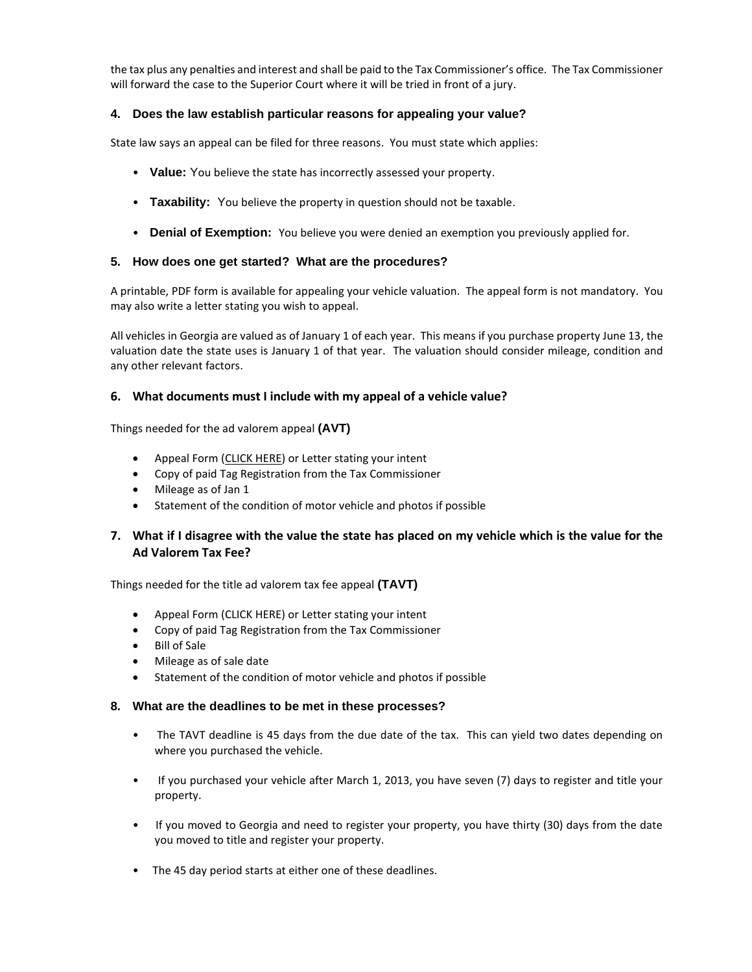the tax plus any penalties and interest and shall be paid to the Tax Commissioner's office. The Tax Commissioner will forward the case to the Superior Court where it will be tried in front of a jury.

# **4. Does the law establish particular reasons for appealing your value?**

State law says an appeal can be filed for three reasons. You must state which applies:

- **Value:** You believe the state has incorrectly assessed your property.
- **Taxability:** You believe the property in question should not be taxable.
- **Denial of Exemption:** You believe you were denied an exemption you previously applied for.

## **5. How does one get started? What are the procedures?**

A printable, PDF form is available for appealing your vehicle valuation. The appeal form is not mandatory. You may also write a letter stating you wish to appeal.

All vehicles in Georgia are valued as of January 1 of each year. This means if you purchase property June 13, the valuation date the state uses is January 1 of that year. The valuation should consider mileage, condition and any other relevant factors.

## **6. What documents must I include with my appeal of a vehicle value?**

Things needed for the ad valorem appeal **(AVT)** 

- Appeal Form (CLICK HERE) or Letter stating your intent
- Copy of paid Tag Registration from the Tax Commissioner
- Mileage as of Jan 1
- Statement of the condition of motor vehicle and photos if possible

# **7. What if I disagree with the value the state has placed on my vehicle which is the value for the Ad Valorem Tax Fee?**

Things needed for the title ad valorem tax fee appeal **(TAVT)** 

- Appeal Form (CLICK HERE) or Letter stating your intent
- Copy of paid Tag Registration from the Tax Commissioner
- Bill of Sale
- Mileage as of sale date
- Statement of the condition of motor vehicle and photos if possible

#### **8. What are the deadlines to be met in these processes?**

- The TAVT deadline is 45 days from the due date of the tax. This can yield two dates depending on where you purchased the vehicle.
- If you purchased your vehicle after March 1, 2013, you have seven (7) days to register and title your property.
- If you moved to Georgia and need to register your property, you have thirty (30) days from the date you moved to title and register your property.
- The 45 day period starts at either one of these deadlines.